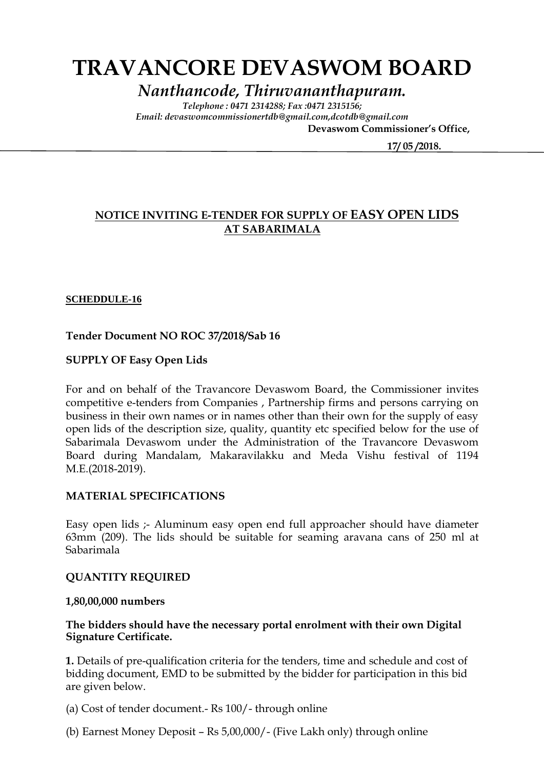# **TRAVANCORE DEVASWOM BOARD**

*Nanthancode, Thiruvananthapuram.*

*Telephone : 0471 2314288; Fax :0471 2315156; Email: devaswomcommissionertdb@gmail.com,dcotdb@gmail.com*

 **Devaswom Commissioner's Office,**

 **17/ 05 /2018.**

# **NOTICE INVITING E-TENDER FOR SUPPLY OF EASY OPEN LIDS AT SABARIMALA**

## **SCHEDDULE-16**

# **Tender Document NO ROC 37/2018/Sab 16**

## **SUPPLY OF Easy Open Lids**

For and on behalf of the Travancore Devaswom Board, the Commissioner invites competitive e-tenders from Companies , Partnership firms and persons carrying on business in their own names or in names other than their own for the supply of easy open lids of the description size, quality, quantity etc specified below for the use of Sabarimala Devaswom under the Administration of the Travancore Devaswom Board during Mandalam, Makaravilakku and Meda Vishu festival of 1194 M.E.(2018-2019).

#### **MATERIAL SPECIFICATIONS**

Easy open lids ;- Aluminum easy open end full approacher should have diameter 63mm (209). The lids should be suitable for seaming aravana cans of 250 ml at Sabarimala

#### **QUANTITY REQUIRED**

#### **1,80,00,000 numbers**

## **The bidders should have the necessary portal enrolment with their own Digital Signature Certificate.**

**1.** Details of pre-qualification criteria for the tenders, time and schedule and cost of bidding document, EMD to be submitted by the bidder for participation in this bid are given below.

(a) Cost of tender document.- Rs 100/- through online

(b) Earnest Money Deposit – Rs 5,00,000/- (Five Lakh only) through online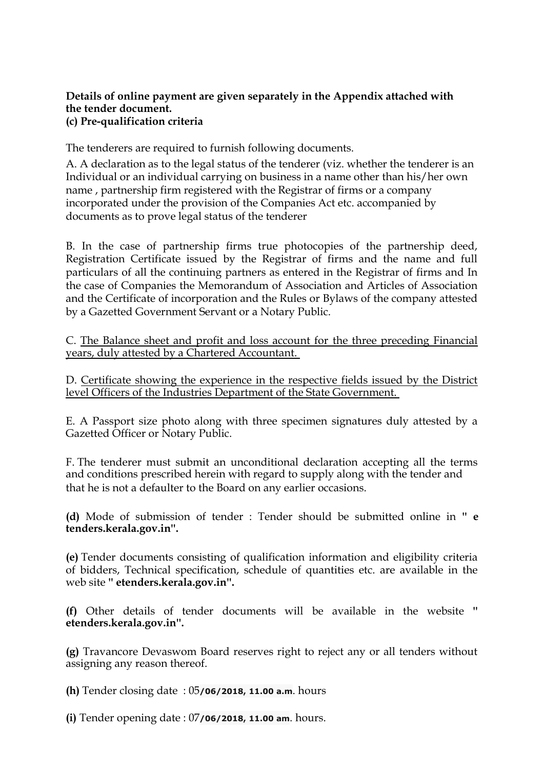## **Details of online payment are given separately in the Appendix attached with the tender document. (c) Pre-qualification criteria**

The tenderers are required to furnish following documents.

A. A declaration as to the legal status of the tenderer (viz. whether the tenderer is an Individual or an individual carrying on business in a name other than his/her own name , partnership firm registered with the Registrar of firms or a company incorporated under the provision of the Companies Act etc. accompanied by documents as to prove legal status of the tenderer

B. In the case of partnership firms true photocopies of the partnership deed, Registration Certificate issued by the Registrar of firms and the name and full particulars of all the continuing partners as entered in the Registrar of firms and In the case of Companies the Memorandum of Association and Articles of Association and the Certificate of incorporation and the Rules or Bylaws of the company attested by a Gazetted Government Servant or a Notary Public.

C. The Balance sheet and profit and loss account for the three preceding Financial years, duly attested by a Chartered Accountant.

D. Certificate showing the experience in the respective fields issued by the District level Officers of the Industries Department of the State Government.

E. A Passport size photo along with three specimen signatures duly attested by a Gazetted Officer or Notary Public.

F. The tenderer must submit an unconditional declaration accepting all the terms and conditions prescribed herein with regard to supply along with the tender and that he is not a defaulter to the Board on any earlier occasions.

**(d)** Mode of submission of tender : Tender should be submitted online in **'' e tenders.kerala.gov.in''.** 

**(e)** Tender documents consisting of qualification information and eligibility criteria of bidders, Technical specification, schedule of quantities etc. are available in the web site **'' etenders.kerala.gov.in''.**

**(f)** Other details of tender documents will be available in the website **'' etenders.kerala.gov.in''.** 

**(g)** Travancore Devaswom Board reserves right to reject any or all tenders without assigning any reason thereof.

**(h)** Tender closing date : 05**/06/2018, 11.00 a.m**. hours

**(i)** Tender opening date : 07**/06/2018, 11.00 am**. hours.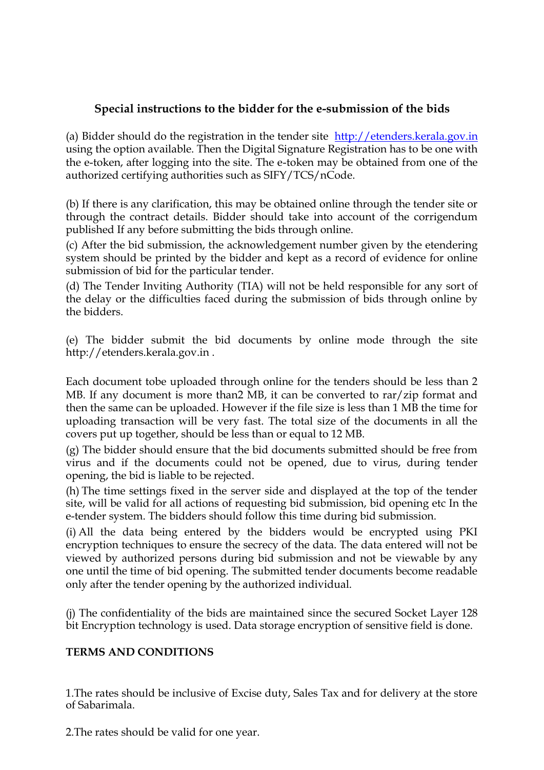# **Special instructions to the bidder for the e-submission of the bids**

(a) Bidder should do the registration in the tender site [http://etenders.kerala.gov.in](http://etenders.kerala.gov.in/) using the option available. Then the Digital Signature Registration has to be one with the e-token, after logging into the site. The e-token may be obtained from one of the authorized certifying authorities such as SIFY/TCS/nCode.

(b) If there is any clarification, this may be obtained online through the tender site or through the contract details. Bidder should take into account of the corrigendum published If any before submitting the bids through online.

(c) After the bid submission, the acknowledgement number given by the etendering system should be printed by the bidder and kept as a record of evidence for online submission of bid for the particular tender.

(d) The Tender Inviting Authority (TIA) will not be held responsible for any sort of the delay or the difficulties faced during the submission of bids through online by the bidders.

(e) The bidder submit the bid documents by online mode through the site http://etenders.kerala.gov.in .

Each document tobe uploaded through online for the tenders should be less than 2 MB. If any document is more than2 MB, it can be converted to rar/zip format and then the same can be uploaded. However if the file size is less than 1 MB the time for uploading transaction will be very fast. The total size of the documents in all the covers put up together, should be less than or equal to 12 MB.

(g) The bidder should ensure that the bid documents submitted should be free from virus and if the documents could not be opened, due to virus, during tender opening, the bid is liable to be rejected.

(h) The time settings fixed in the server side and displayed at the top of the tender site, will be valid for all actions of requesting bid submission, bid opening etc In the e-tender system. The bidders should follow this time during bid submission.

(i) All the data being entered by the bidders would be encrypted using PKI encryption techniques to ensure the secrecy of the data. The data entered will not be viewed by authorized persons during bid submission and not be viewable by any one until the time of bid opening. The submitted tender documents become readable only after the tender opening by the authorized individual.

(j) The confidentiality of the bids are maintained since the secured Socket Layer 128 bit Encryption technology is used. Data storage encryption of sensitive field is done.

# **TERMS AND CONDITIONS**

1.The rates should be inclusive of Excise duty, Sales Tax and for delivery at the store of Sabarimala.

2.The rates should be valid for one year.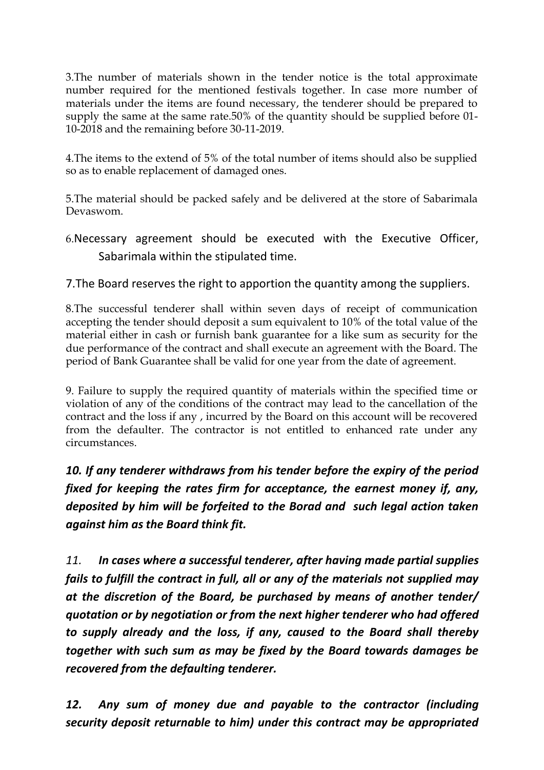3.The number of materials shown in the tender notice is the total approximate number required for the mentioned festivals together. In case more number of materials under the items are found necessary, the tenderer should be prepared to supply the same at the same rate.50% of the quantity should be supplied before 01- 10-2018 and the remaining before 30-11-2019.

4.The items to the extend of 5% of the total number of items should also be supplied so as to enable replacement of damaged ones.

5.The material should be packed safely and be delivered at the store of Sabarimala Devaswom.

6.Necessary agreement should be executed with the Executive Officer, Sabarimala within the stipulated time.

7.The Board reserves the right to apportion the quantity among the suppliers.

8.The successful tenderer shall within seven days of receipt of communication accepting the tender should deposit a sum equivalent to 10% of the total value of the material either in cash or furnish bank guarantee for a like sum as security for the due performance of the contract and shall execute an agreement with the Board. The period of Bank Guarantee shall be valid for one year from the date of agreement.

9. Failure to supply the required quantity of materials within the specified time or violation of any of the conditions of the contract may lead to the cancellation of the contract and the loss if any , incurred by the Board on this account will be recovered from the defaulter. The contractor is not entitled to enhanced rate under any circumstances.

*10. If any tenderer withdraws from his tender before the expiry of the period fixed for keeping the rates firm for acceptance, the earnest money if, any, deposited by him will be forfeited to the Borad and such legal action taken against him as the Board think fit.*

*11. In cases where a successful tenderer, after having made partial supplies fails to fulfill the contract in full, all or any of the materials not supplied may at the discretion of the Board, be purchased by means of another tender/ quotation or by negotiation or from the next higher tenderer who had offered to supply already and the loss, if any, caused to the Board shall thereby together with such sum as may be fixed by the Board towards damages be recovered from the defaulting tenderer.*

*12. Any sum of money due and payable to the contractor (including security deposit returnable to him) under this contract may be appropriated*